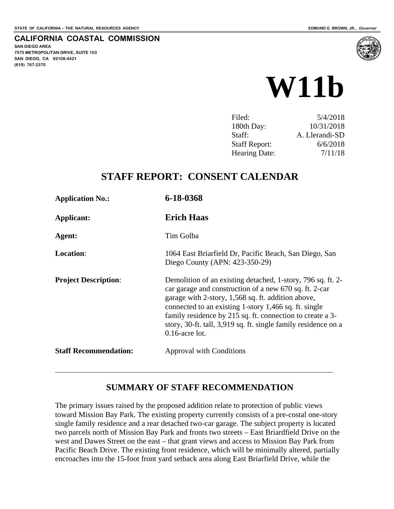**SAN DIEGO AREA** 

**(619) 767-2370**

**7575 METROPOLITAN DRIVE, SUITE 103 SAN DIEGO, CA 92108-4421**

 $\overline{a}$ 

**CALIFORNIA COASTAL COMMISSION**

# **W11b**

| Filed:               | 5/4/2018       |
|----------------------|----------------|
| 180th Day:           | 10/31/2018     |
| Staff:               | A. Llerandi-SD |
| <b>Staff Report:</b> | 6/6/2018       |
| <b>Hearing Date:</b> | 7/11/18        |
|                      |                |

# **STAFF REPORT: CONSENT CALENDAR**

| <b>Application No.:</b>      | 6-18-0368                                                                                                                                                                                                                                                                                                                                                                                |
|------------------------------|------------------------------------------------------------------------------------------------------------------------------------------------------------------------------------------------------------------------------------------------------------------------------------------------------------------------------------------------------------------------------------------|
| Applicant:                   | <b>Erich Haas</b>                                                                                                                                                                                                                                                                                                                                                                        |
| Agent:                       | Tim Golba                                                                                                                                                                                                                                                                                                                                                                                |
| <b>Location:</b>             | 1064 East Briarfield Dr, Pacific Beach, San Diego, San<br>Diego County (APN: 423-350-29)                                                                                                                                                                                                                                                                                                 |
| <b>Project Description:</b>  | Demolition of an existing detached, 1-story, 796 sq. ft. 2-<br>car garage and construction of a new 670 sq. ft. 2-car<br>garage with 2-story, 1,568 sq. ft. addition above,<br>connected to an existing 1-story 1,466 sq. ft. single<br>family residence by 215 sq. ft. connection to create a 3-<br>story, 30-ft. tall, 3,919 sq. ft. single family residence on a<br>$0.16$ -acre lot. |
| <b>Staff Recommendation:</b> | <b>Approval with Conditions</b>                                                                                                                                                                                                                                                                                                                                                          |

#### **SUMMARY OF STAFF RECOMMENDATION**

The primary issues raised by the proposed addition relate to protection of public views toward Mission Bay Park. The existing property currently consists of a pre-costal one-story single family residence and a rear detached two-car garage. The subject property is located two parcels north of Mission Bay Park and fronts two streets – East Briardfield Drive on the west and Dawes Street on the east – that grant views and access to Mission Bay Park from Pacific Beach Drive. The existing front residence, which will be minimally altered, partially encroaches into the 15-foot front yard setback area along East Briarfield Drive, while the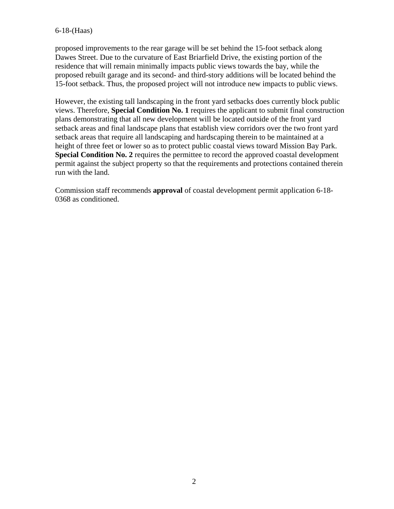#### 6-18-(Haas)

proposed improvements to the rear garage will be set behind the 15-foot setback along Dawes Street. Due to the curvature of East Briarfield Drive, the existing portion of the residence that will remain minimally impacts public views towards the bay, while the proposed rebuilt garage and its second- and third-story additions will be located behind the 15-foot setback. Thus, the proposed project will not introduce new impacts to public views.

However, the existing tall landscaping in the front yard setbacks does currently block public views. Therefore, **Special Condition No. 1** requires the applicant to submit final construction plans demonstrating that all new development will be located outside of the front yard setback areas and final landscape plans that establish view corridors over the two front yard setback areas that require all landscaping and hardscaping therein to be maintained at a height of three feet or lower so as to protect public coastal views toward Mission Bay Park. **Special Condition No. 2** requires the permittee to record the approved coastal development permit against the subject property so that the requirements and protections contained therein run with the land.

Commission staff recommends **approval** of coastal development permit application 6-18- 0368 as conditioned.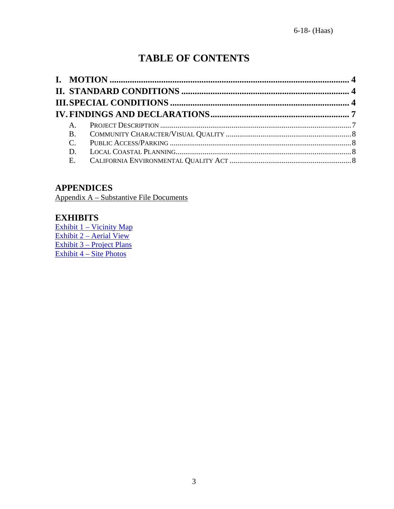# **TABLE OF CONTENTS**

| $A_{1}$      |  |
|--------------|--|
|              |  |
|              |  |
| $\mathbf{D}$ |  |
|              |  |

#### **APPENDICES**

Appendix A – Substantive File Documents

#### **EXHIBITS**

[Exhibit 1 – Vicinity Map](https://documents.coastal.ca.gov/reports/2018/7/W11b/W11b-7-2018-exhibits.pdf) Exhibit  $2 -$  Aerial View [Exhibit 3 – Project Plans](https://documents.coastal.ca.gov/reports/2018/7/W11b/W11b-7-2018-exhibits.pdf) [Exhibit 4 – Site Photos](https://documents.coastal.ca.gov/reports/2018/7/W11b/W11b-7-2018-exhibits.pdf)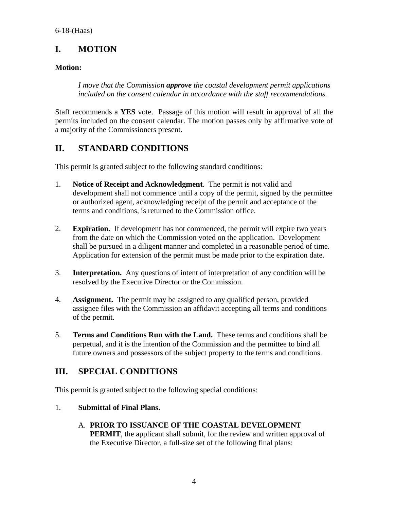# <span id="page-3-0"></span>**I. MOTION**

#### **Motion:**

*I move that the Commission approve the coastal development permit applications included on the consent calendar in accordance with the staff recommendations.* 

Staff recommends a **YES** vote. Passage of this motion will result in approval of all the permits included on the consent calendar. The motion passes only by affirmative vote of a majority of the Commissioners present.

# <span id="page-3-1"></span>**II. STANDARD CONDITIONS**

This permit is granted subject to the following standard conditions:

- 1. **Notice of Receipt and Acknowledgment**. The permit is not valid and development shall not commence until a copy of the permit, signed by the permittee or authorized agent, acknowledging receipt of the permit and acceptance of the terms and conditions, is returned to the Commission office.
- 2. **Expiration.** If development has not commenced, the permit will expire two years from the date on which the Commission voted on the application. Development shall be pursued in a diligent manner and completed in a reasonable period of time. Application for extension of the permit must be made prior to the expiration date.
- 3. **Interpretation.** Any questions of intent of interpretation of any condition will be resolved by the Executive Director or the Commission.
- 4. **Assignment.** The permit may be assigned to any qualified person, provided assignee files with the Commission an affidavit accepting all terms and conditions of the permit.
- 5. **Terms and Conditions Run with the Land.** These terms and conditions shall be perpetual, and it is the intention of the Commission and the permittee to bind all future owners and possessors of the subject property to the terms and conditions.

#### <span id="page-3-2"></span>**III. SPECIAL CONDITIONS**

This permit is granted subject to the following special conditions:

#### 1. **Submittal of Final Plans.**

A. **PRIOR TO ISSUANCE OF THE COASTAL DEVELOPMENT PERMIT**, the applicant shall submit, for the review and written approval of the Executive Director, a full-size set of the following final plans: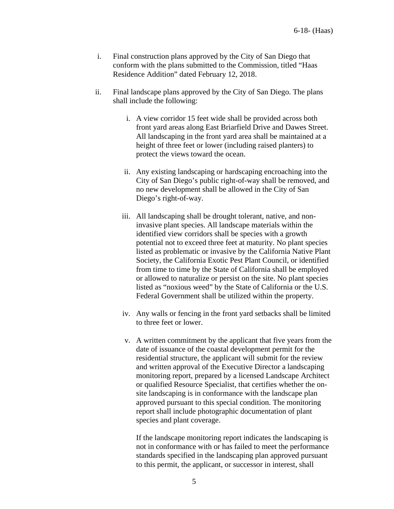- i. Final construction plans approved by the City of San Diego that conform with the plans submitted to the Commission, titled "Haas Residence Addition" dated February 12, 2018.
- ii. Final landscape plans approved by the City of San Diego. The plans shall include the following:
	- i. A view corridor 15 feet wide shall be provided across both front yard areas along East Briarfield Drive and Dawes Street. All landscaping in the front yard area shall be maintained at a height of three feet or lower (including raised planters) to protect the views toward the ocean.
	- ii. Any existing landscaping or hardscaping encroaching into the City of San Diego's public right-of-way shall be removed, and no new development shall be allowed in the City of San Diego's right-of-way.
	- iii. All landscaping shall be drought tolerant, native, and noninvasive plant species. All landscape materials within the identified view corridors shall be species with a growth potential not to exceed three feet at maturity. No plant species listed as problematic or invasive by the California Native Plant Society, the California Exotic Pest Plant Council, or identified from time to time by the State of California shall be employed or allowed to naturalize or persist on the site. No plant species listed as "noxious weed" by the State of California or the U.S. Federal Government shall be utilized within the property.
	- iv. Any walls or fencing in the front yard setbacks shall be limited to three feet or lower.
	- v. A written commitment by the applicant that five years from the date of issuance of the coastal development permit for the residential structure, the applicant will submit for the review and written approval of the Executive Director a landscaping monitoring report, prepared by a licensed Landscape Architect or qualified Resource Specialist, that certifies whether the onsite landscaping is in conformance with the landscape plan approved pursuant to this special condition. The monitoring report shall include photographic documentation of plant species and plant coverage.

If the landscape monitoring report indicates the landscaping is not in conformance with or has failed to meet the performance standards specified in the landscaping plan approved pursuant to this permit, the applicant, or successor in interest, shall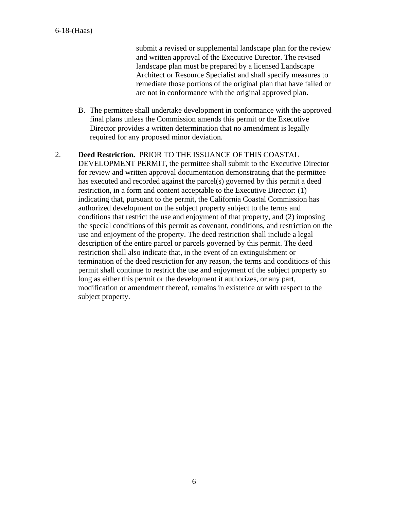submit a revised or supplemental landscape plan for the review and written approval of the Executive Director. The revised landscape plan must be prepared by a licensed Landscape Architect or Resource Specialist and shall specify measures to remediate those portions of the original plan that have failed or are not in conformance with the original approved plan.

B. The permittee shall undertake development in conformance with the approved final plans unless the Commission amends this permit or the Executive Director provides a written determination that no amendment is legally required for any proposed minor deviation.

#### 2. **Deed Restriction.** PRIOR TO THE ISSUANCE OF THIS COASTAL

DEVELOPMENT PERMIT, the permittee shall submit to the Executive Director for review and written approval documentation demonstrating that the permittee has executed and recorded against the parcel(s) governed by this permit a deed restriction, in a form and content acceptable to the Executive Director: (1) indicating that, pursuant to the permit, the California Coastal Commission has authorized development on the subject property subject to the terms and conditions that restrict the use and enjoyment of that property, and (2) imposing the special conditions of this permit as covenant, conditions, and restriction on the use and enjoyment of the property. The deed restriction shall include a legal description of the entire parcel or parcels governed by this permit. The deed restriction shall also indicate that, in the event of an extinguishment or termination of the deed restriction for any reason, the terms and conditions of this permit shall continue to restrict the use and enjoyment of the subject property so long as either this permit or the development it authorizes, or any part, modification or amendment thereof, remains in existence or with respect to the subject property.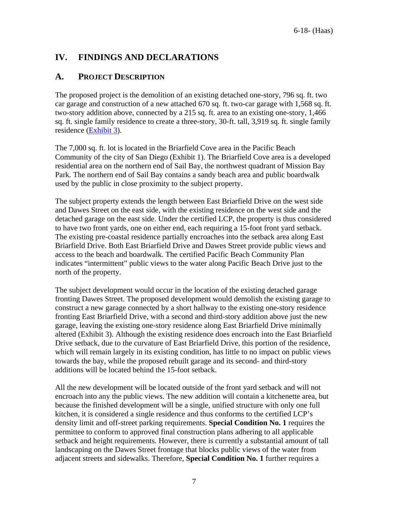# <span id="page-6-0"></span>**IV. FINDINGS AND DECLARATIONS**

#### <span id="page-6-1"></span>**A. PROJECT DESCRIPTION**

The proposed project is the demolition of an existing detached one-story, 796 sq. ft. two car garage and construction of a new attached 670 sq. ft. two-car garage with 1,568 sq. ft. two-story addition above, connected by a 215 sq. ft. area to an existing one-story, 1,466 sq. ft. single family residence to create a three-story, 30-ft. tall, 3,919 sq. ft. single family residence [\(Exhibit 3\)](https://documents.coastal.ca.gov/reports/2018/7/W11b/W11b-7-2018-exhibits.pdf).

The 7,000 sq. ft. lot is located in the Briarfield Cove area in the Pacific Beach Community of the city of San Diego (Exhibit 1). The Briarfield Cove area is a developed residential area on the northern end of Sail Bay, the northwest quadrant of Mission Bay Park. The northern end of Sail Bay contains a sandy beach area and public boardwalk used by the public in close proximity to the subject property.

The subject property extends the length between East Briarfield Drive on the west side and Dawes Street on the east side, with the existing residence on the west side and the detached garage on the east side. Under the certified LCP, the property is thus considered to have two front yards, one on either end, each requiring a 15-foot front yard setback. The existing pre-coastal residence partially encroaches into the setback area along East Briarfield Drive. Both East Briarfield Drive and Dawes Street provide public views and access to the beach and boardwalk. The certified Pacific Beach Community Plan indicates "intermittent" public views to the water along Pacific Beach Drive just to the north of the property.

The subject development would occur in the location of the existing detached garage fronting Dawes Street. The proposed development would demolish the existing garage to construct a new garage connected by a short hallway to the existing one-story residence fronting East Briarfield Drive, with a second and third-story addition above just the new garage, leaving the existing one-story residence along East Briarfield Drive minimally altered (Exhibit 3). Although the existing residence does encroach into the East Briarfield Drive setback, due to the curvature of East Briarfield Drive, this portion of the residence, which will remain largely in its existing condition, has little to no impact on public views towards the bay, while the proposed rebuilt garage and its second- and third-story additions will be located behind the 15-foot setback.

All the new development will be located outside of the front yard setback and will not encroach into any the public views. The new addition will contain a kitchenette area, but because the finished development will be a single, unified structure with only one full kitchen, it is considered a single residence and thus conforms to the certified LCP's density limit and off-street parking requirements. **Special Condition No. 1** requires the permittee to conform to approved final construction plans adhering to all applicable setback and height requirements. However, there is currently a substantial amount of tall landscaping on the Dawes Street frontage that blocks public views of the water from adjacent streets and sidewalks. Therefore, **Special Condition No. 1** further requires a